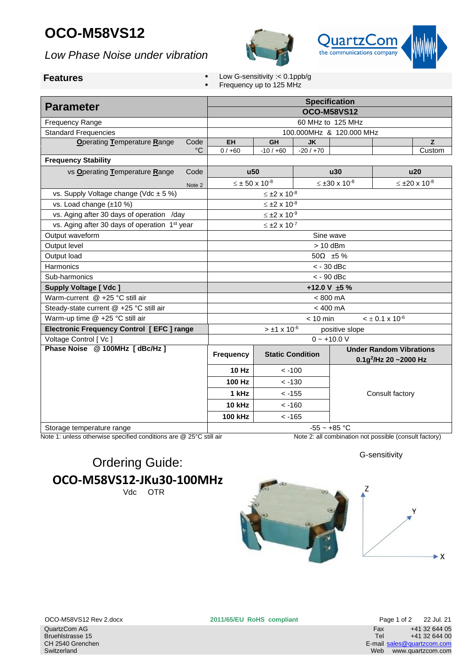## **OCO-M58VS12**

*Low Phase Noise under vibration*





- **Features Features Features Features Features Features Features Features Features Features Features Features Features Features Features Features Features Features Features Features F** 
	- Frequency up to 125 MHz

| <b>Parameter</b>                                          |                                          | <b>Specification</b><br><b>OCO-M58VS12</b> |                             |                              |                                |                                   |        |  |
|-----------------------------------------------------------|------------------------------------------|--------------------------------------------|-----------------------------|------------------------------|--------------------------------|-----------------------------------|--------|--|
| <b>Frequency Range</b>                                    |                                          | 60 MHz to 125 MHz                          |                             |                              |                                |                                   |        |  |
| <b>Standard Frequencies</b>                               | 100.000MHz & 120.000 MHz                 |                                            |                             |                              |                                |                                   |        |  |
| <b>Operating Temperature Range</b><br>Code                |                                          | EH                                         | GH                          | <b>JK</b>                    |                                |                                   | Z      |  |
|                                                           | $^{\circ}C$                              | $0/+60$                                    | $-10/ +60$                  | $-20/170$                    |                                |                                   | Custom |  |
| <b>Frequency Stability</b>                                |                                          |                                            |                             |                              |                                |                                   |        |  |
| vs Operating Temperature Range<br>Code                    |                                          | <b>u50</b>                                 |                             | u30                          |                                | <b>u20</b>                        |        |  |
|                                                           |                                          | $\leq \pm 50 \times 10^{-8}$               |                             | $\leq \pm 30 \times 10^{-8}$ |                                | $≤ ±20 × 10-8$                    |        |  |
| vs. Supply Voltage change (Vdc $\pm$ 5 %)                 |                                          |                                            | $≤ ±2 × 10-8$               |                              |                                |                                   |        |  |
| vs. Load change (±10 %)                                   |                                          |                                            | $\leq \pm 2 \times 10^{-8}$ |                              |                                |                                   |        |  |
| vs. Aging after 30 days of operation /day                 | $\leq \pm 2 \times 10^{-9}$              |                                            |                             |                              |                                |                                   |        |  |
| vs. Aging after 30 days of operation 1 <sup>st</sup> year | $\leq \pm 2 \times 10^{-7}$              |                                            |                             |                              |                                |                                   |        |  |
| Output waveform                                           |                                          | Sine wave                                  |                             |                              |                                |                                   |        |  |
| Output level                                              |                                          | $> 10$ dBm                                 |                             |                              |                                |                                   |        |  |
| Output load                                               |                                          | 50 $\Omega$ ±5%                            |                             |                              |                                |                                   |        |  |
| Harmonics                                                 | $<$ - 30 dBc                             |                                            |                             |                              |                                |                                   |        |  |
| Sub-harmonics                                             | $<$ - 90 dBc                             |                                            |                             |                              |                                |                                   |        |  |
| <b>Supply Voltage [ Vdc ]</b>                             |                                          | +12.0 V $\pm$ 5 %                          |                             |                              |                                |                                   |        |  |
| Warm-current @ +25 °C still air                           | $< 800$ mA                               |                                            |                             |                              |                                |                                   |        |  |
| Steady-state current @ +25 °C still air                   | $< 400$ mA                               |                                            |                             |                              |                                |                                   |        |  |
| Warm-up time @ +25 °C still air                           | $< 10$ min<br>$< \pm 0.1 \times 10^{-6}$ |                                            |                             |                              |                                |                                   |        |  |
| Electronic Frequency Control [EFC ] range                 |                                          | $> \pm 1 \times 10^{-6}$<br>positive slope |                             |                              |                                |                                   |        |  |
| Voltage Control [ Vc ]                                    |                                          | $0 - +10.0 V$                              |                             |                              |                                |                                   |        |  |
| Phase Noise @ 100MHz [dBc/Hz]                             |                                          | <b>Frequency</b>                           | <b>Static Condition</b>     |                              | <b>Under Random Vibrations</b> |                                   |        |  |
|                                                           |                                          |                                            |                             |                              |                                | 0.1g <sup>2</sup> /Hz 20 ~2000 Hz |        |  |
|                                                           |                                          | <b>10 Hz</b>                               | $< -100$                    |                              |                                |                                   |        |  |
|                                                           |                                          | 100 Hz                                     | $< -130$                    |                              |                                |                                   |        |  |
|                                                           |                                          | 1 kHz                                      | $< -155$                    |                              |                                | Consult factory                   |        |  |
|                                                           |                                          | <b>10 kHz</b>                              | $< -160$                    |                              |                                |                                   |        |  |
|                                                           |                                          | <b>100 kHz</b>                             | $< -165$                    |                              |                                |                                   |        |  |
| Storage temperature range                                 |                                          | $-55 - +85$ °C                             |                             |                              |                                |                                   |        |  |

Note 1: unless otherwise specified conditions are @ 25°C still air Note 2: all combination not possible (consult factory)

G-sensitivity

## Ordering Guide: **OCO-M58VS12-JKu30-100MHz** Vdc OTR





OCO-M58VS12 Rev 2.docx **2011/65/EU RoHS compliant** Page 1 of 2 22 Jul. 21 Fax +41 32 644 05<br>Tel +41 32 644 00 +41 32 644 00 E-mail [sales@quartzcom.com](mailto:sales@quartzcom.com) Web www.quartzcom.com